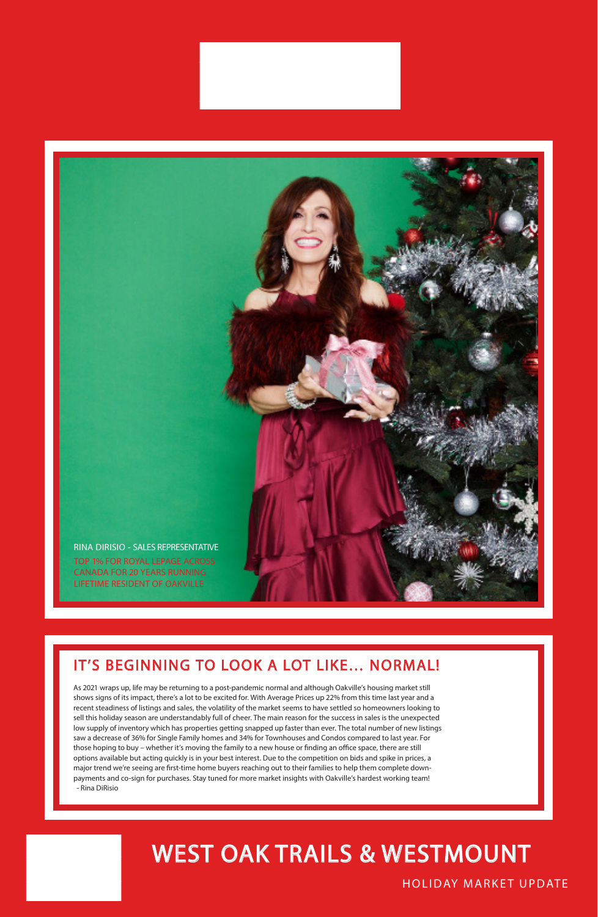### HOLIDAY MARKET UPDATE

### WEST OAK TRAILS & WESTMOUNT

### IT'S BEGINNING TO LOOK A LOT LIKE… NORMAL!

As 2021 wraps up, life may be returning to a post-pandemic normal and although Oakville's housing market still

shows signs of its impact, there's a lot to be excited for. With Average Prices up 22% from this time last year and a recent steadiness of listings and sales, the volatility of the market seems to have settled so homeowners looking to sell this holiday season are understandably full of cheer. The main reason for the success in sales is the unexpected low supply of inventory which has properties getting snapped up faster than ever. The total number of new listings saw a decrease of 36% for Single Family homes and 34% for Townhouses and Condos compared to last year. For those hoping to buy – whether it's moving the family to a new house or finding an office space, there are still options available but acting quickly is in your best interest. Due to the competition on bids and spike in prices, a major trend we're seeing are first-time home buyers reaching out to their families to help them complete downpayments and co-sign for purchases. Stay tuned for more market insights with Oakville's hardest working team! - Rina DiRisio